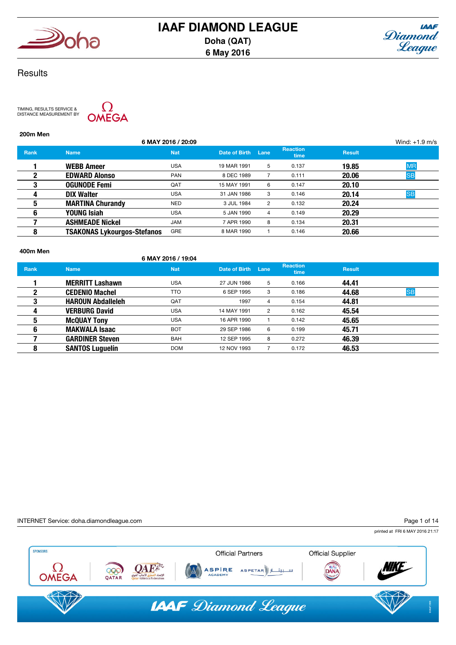



## **Results**

TIMING, RESULTS SERVICE & DISTANCE MEASUREMENT BY



200m Men

|             |                                    | 6 MAY 2016 / 20:09 |               |      |                         |               | Wind: $+1.9$ m/s |
|-------------|------------------------------------|--------------------|---------------|------|-------------------------|---------------|------------------|
| <b>Rank</b> | <b>Name</b>                        | <b>Nat</b>         | Date of Birth | Lane | <b>Reaction</b><br>time | <b>Result</b> |                  |
|             | <b>WEBB Ameer</b>                  | <b>USA</b>         | 19 MAR 1991   | 5    | 0.137                   | 19.85         | <b>MR</b>        |
| 2           | <b>EDWARD Alonso</b>               | <b>PAN</b>         | 8 DEC 1989    |      | 0.111                   | 20.06         | <b>SB</b>        |
| 3           | <b>OGUNODE Femi</b>                | QAT                | 15 MAY 1991   | 6    | 0.147                   | 20.10         |                  |
| 4           | <b>DIX Walter</b>                  | <b>USA</b>         | 31 JAN 1986   | 3    | 0.146                   | 20.14         | <b>SB</b>        |
| 5           | <b>MARTINA Churandy</b>            | <b>NED</b>         | 3 JUL 1984    | 2    | 0.132                   | 20.24         |                  |
| 6           | YOUNG Isiah                        | <b>USA</b>         | 5 JAN 1990    | 4    | 0.149                   | 20.29         |                  |
|             | <b>ASHMEADE Nickel</b>             | <b>JAM</b>         | 7 APR 1990    | 8    | 0.134                   | 20.31         |                  |
| 8           | <b>TSAKONAS Lykourgos-Stefanos</b> | GRE                | 8 MAR 1990    |      | 0.146                   | 20.66         |                  |
|             |                                    |                    |               |      |                         |               |                  |

#### 400m Men

## 6 MAY 2016 / 19:04

| <b>Rank</b> | <b>Name</b>              | <b>Nat</b> | Date of Birth Lane |                | <b>Reaction</b><br><b>time</b> | <b>Result</b> |           |
|-------------|--------------------------|------------|--------------------|----------------|--------------------------------|---------------|-----------|
|             | <b>MERRITT Lashawn</b>   | USA        | 27 JUN 1986        | 5              | 0.166                          | 44.41         |           |
| 2           | <b>CEDENIO Machel</b>    | TTO        | 6 SEP 1995         | 3              | 0.186                          | 44.68         | <b>SB</b> |
| 3           | <b>HAROUN Abdalleleh</b> | QAT        | 1997               | 4              | 0.154                          | 44.81         |           |
| 4           | <b>VERBURG David</b>     | <b>USA</b> | 14 MAY 1991        | $\overline{2}$ | 0.162                          | 45.54         |           |
| 5           | <b>McQUAY Tony</b>       | USA        | 16 APR 1990        |                | 0.142                          | 45.65         |           |
| 6           | <b>MAKWALA Isaac</b>     | <b>BOT</b> | 29 SEP 1986        | 6              | 0.199                          | 45.71         |           |
|             | <b>GARDINER Steven</b>   | <b>BAH</b> | 12 SEP 1995        | 8              | 0.272                          | 46.39         |           |
| 8           | <b>SANTOS Luguelín</b>   | <b>DOM</b> | 12 NOV 1993        |                | 0.172                          | 46.53         |           |

#### INTERNET Service: doha.diamondleague.com

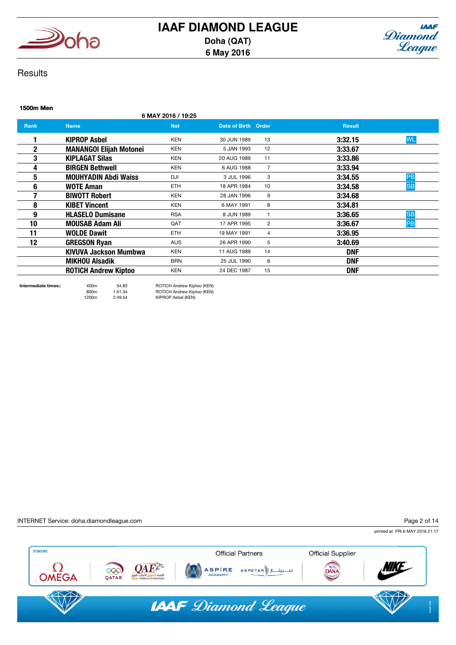



## **Results**

## 1500m Men 6 MAY 2016 / 19:25 **Rank Name Name Nat Nat Date of Birth Order Result** Result 1 KIPROP Asbel KEN 30 JUN 1989 13 3:32.15 WL **2 MANANGOI Elijah Motonei** KEN 5 JAN 1993 12 3:33.67 **3 KIPLAGAT Silas** KEN 20 AUG 1989 11 3:33.86 **4** BIRGEN Bethwell **KEN 6 AUG 1988** 7 3:33.94 **5 MOUHYADIN Abdi Waiss Bullet Bullet Bullet Bullet Bullet 3 JUL 1996 3** 3:34.55 3:34.55 PB **6 WOTE Aman ETH 18 APR 1984 10 3:34.58 <mark>SB</mark> 7** BIWOTT Robert **KEN EXAM 28 JAN 1996** 9 3:34.68 8 KIBET Vincent **KEN** KEN 6 MAY 1991 8 3:34.81 **9 HLASELO Dumisane** RSA 8 JUN 1989 1 3:36.65 SB 10 **MOUSAB Adam Ali** QAT 17 APR 1995 2 3:36.67 PB 11 WOLDE Dawit **ETH** 19 MAY 1991 4 3:36.95 **12 GREGSON Ryan AUS** AUS 26 APR 1990 5 3:40.69 KIVUVA Jackson Mumbwa KEN 11 AUG 1989 14 DNF MIKHOU Alsadik BRN 25 JUL 1990 6 DNF ROTICH Andrew Kiptoo KEN 24 DEC 1987 15 DNF

Intermediate times:: 400m 54.83 ROTICH Andrew Kiptoo (KEN) 800m 1:51.34 ROTICH Andrew Kiptoo (KEN) 1200m 2:49.54 KIPROP Asbel (KEN)

INTERNET Service: doha.diamondleague.com

Page 2 of 14

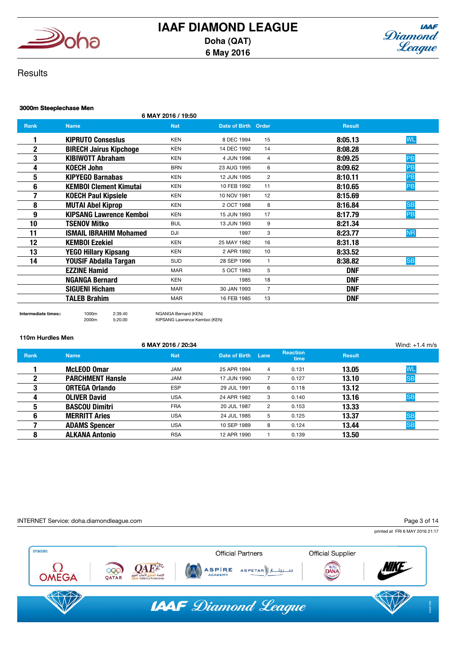



## **Results**

## 3000m Steeplechase Men

6 MAY 2016 / 19:50

| Rank        | <b>Name</b>                    | <b>Nat</b> | Date of Birth Order |                | <b>Result</b>        |  |
|-------------|--------------------------------|------------|---------------------|----------------|----------------------|--|
|             | <b>KIPRUTO Consesius</b>       | <b>KEN</b> | 8 DEC 1994          | 15             | <b>WL</b><br>8:05.13 |  |
| $\mathbf 2$ | <b>BIRECH Jairus Kipchoge</b>  | <b>KEN</b> | 14 DEC 1992         | 14             | 8:08.28              |  |
| 3           | <b>KIBIWOTT Abraham</b>        | <b>KEN</b> | 4 JUN 1996          | $\overline{4}$ | 8:09.25<br>PB        |  |
| 4           | <b>KOECH John</b>              | <b>BRN</b> | 23 AUG 1995         | 6              | <b>PB</b><br>8:09.62 |  |
| 5           | <b>KIPYEGO Barnabas</b>        | <b>KEN</b> | 12 JUN 1995         | 2              | PB<br>8:10.11        |  |
| 6           | <b>KEMBOI Clement Kimutai</b>  | <b>KEN</b> | 10 FEB 1992         | 11             | PB<br>8:10.65        |  |
| 7           | <b>KOECH Paul Kipsiele</b>     | <b>KEN</b> | 10 NOV 1981         | 12             | 8:15.69              |  |
| 8           | <b>MUTAI Abel Kiprop</b>       | <b>KEN</b> | 2 OCT 1988          | 8              | <b>SB</b><br>8:16.84 |  |
| 9           | <b>KIPSANG Lawrence Kemboi</b> | <b>KEN</b> | 15 JUN 1993         | 17             | 8:17.79<br>PB        |  |
| 10          | <b>TSENOV Mitko</b>            | <b>BUL</b> | 13 JUN 1993         | 9              | 8:21.34              |  |
| 11          | <b>ISMAIL IBRAHIM Mohamed</b>  | DJI        | 1997                | 3              | <b>NR</b><br>8:23.77 |  |
| 12          | <b>KEMBOI Ezekiel</b>          | <b>KEN</b> | 25 MAY 1982         | 16             | 8:31.18              |  |
| 13          | YEGO Hillary Kipsang           | <b>KEN</b> | 2 APR 1992          | 10             | 8:33.52              |  |
| 14          | YOUSIF Abdalla Targan          | <b>SUD</b> | 28 SEP 1996         | $\mathbf{1}$   | <b>SB</b><br>8:38.82 |  |
|             | <b>EZZINE Hamid</b>            | <b>MAR</b> | 5 OCT 1983          | 5              | DNF                  |  |
|             | <b>NGANGA Bernard</b>          | <b>KEN</b> | 1985                | 18             | <b>DNF</b>           |  |
|             | <b>SIGUENI Hicham</b>          | <b>MAR</b> | 30 JAN 1993         | $\overline{7}$ | <b>DNF</b>           |  |
|             | <b>TALEB Brahim</b>            | <b>MAR</b> | 16 FEB 1985         | 13             | <b>DNF</b>           |  |

Intermediate times:: 1000m 2:39.40 NGANGA Bernard (KEN)

2000m 5:20.00 KIPSANG Lawrence Kemboi (KEN)

#### 110m Hurdles Men

|             |                         | 6 MAY 2016 / 20:34 |               |                |                         |               | Wind: $+1.4$ m/s |
|-------------|-------------------------|--------------------|---------------|----------------|-------------------------|---------------|------------------|
| <b>Rank</b> | <b>Name</b>             | <b>Nat</b>         | Date of Birth | Lane           | <b>Reaction</b><br>time | <b>Result</b> |                  |
|             | <b>McLEOD Omar</b>      | <b>JAM</b>         | 25 APR 1994   | 4              | 0.131                   | 13.05         | <b>WL</b>        |
|             | <b>PARCHMENT Hansle</b> | <b>JAM</b>         | 17 JUN 1990   |                | 0.127                   | 13.10         | <b>SB</b>        |
| 3           | <b>ORTEGA Orlando</b>   | <b>ESP</b>         | 29 JUL 1991   | 6              | 0.118                   | 13.12         |                  |
| 4           | <b>OLIVER David</b>     | <b>USA</b>         | 24 APR 1982   | 3              | 0.140                   | 13.16         | <b>SB</b>        |
| 5           | <b>BASCOU Dimitri</b>   | <b>FRA</b>         | 20 JUL 1987   | $\overline{2}$ | 0.153                   | 13.33         |                  |
| 6           | <b>MERRITT Aries</b>    | <b>USA</b>         | 24 JUL 1985   | 5              | 0.125                   | 13.37         | <b>SB</b>        |
|             | <b>ADAMS Spencer</b>    | <b>USA</b>         | 10 SEP 1989   | 8              | 0.124                   | 13.44         | <b>SB</b>        |
| 8           | <b>ALKANA Antonio</b>   | <b>RSA</b>         | 12 APR 1990   |                | 0.139                   | 13.50         |                  |
|             |                         |                    |               |                |                         |               |                  |

INTERNET Service: doha.diamondleague.com

Page 3 of 14

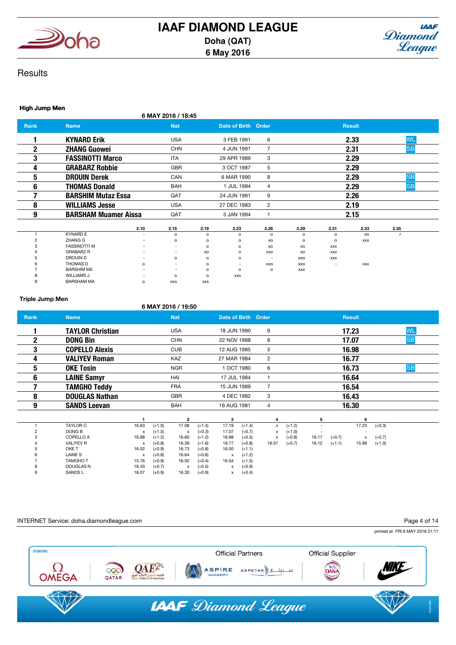



## **Results**

#### High Jump Men

|      |                             | 6 MAY 2016 / 18:45 |                     |   |               |           |
|------|-----------------------------|--------------------|---------------------|---|---------------|-----------|
| Rank | <b>Name</b>                 | <b>Nat</b>         | Date of Birth Order |   | <b>Result</b> |           |
|      | <b>KYNARD Erik</b>          | <b>USA</b>         | 3 FEB 1991          | 6 | 2.33          | <b>WL</b> |
|      | <b>ZHANG Guowei</b>         | <b>CHN</b>         | 4 JUN 1991          |   | 2.31          | <b>SB</b> |
| 3    | <b>FASSINOTTI Marco</b>     | ITA                | 29 APR 1989         | 3 | 2.29          |           |
| Д    | <b>GRABARZ Robbie</b>       | <b>GBR</b>         | 3 OCT 1987          | 5 | 2.29          |           |
| 5    | <b>DROUIN Derek</b>         | CAN                | 6 MAR 1990          | 8 | 2.29          | <b>SB</b> |
| 6    | <b>THOMAS Donald</b>        | <b>BAH</b>         | <b>JUL 1984</b>     | 4 | 2.29          | <b>SB</b> |
|      | <b>BARSHIM Mutaz Essa</b>   | QAT                | 24 JUN 1991         | 9 | 2.26          |           |
| 8    | <b>WILLIAMS Jesse</b>       | <b>USA</b>         | 27 DEC 1983         | 2 | 2.19          |           |
| 9    | <b>BARSHAM Muamer Aissa</b> | QAT                | 3 JAN 1994          |   | 2.15          |           |

|         |                     | 2.10                     | 2.15                     | 2.19     | 2.23                     | 2.26                     | 2.29       | 2.31                     | 2.33 | 2.35 |  |
|---------|---------------------|--------------------------|--------------------------|----------|--------------------------|--------------------------|------------|--------------------------|------|------|--|
|         | <b>KYNARD E</b>     | $\overline{\phantom{0}}$ | $\circ$                  |          | $\Omega$                 | $\circ$                  | o          | $\circ$                  | XO   |      |  |
|         | ZHANG G             | $\overline{\phantom{0}}$ | $\circ$                  | $\circ$  | $\circ$                  | XO                       | $\circ$    | $\circ$                  | XXX  |      |  |
| $\cdot$ | <b>FASSINOTTI M</b> | $\overline{\phantom{0}}$ | $\,$                     | $\Omega$ | $\circ$                  | XO                       | XO         | <b>XXX</b>               |      |      |  |
|         | <b>GRABARZ R</b>    | $\sim$                   | $\overline{\phantom{a}}$ | XO       | $\Omega$                 | XXO                      | XO         | XXX                      |      |      |  |
|         | DROUIN D            | $\overline{\phantom{0}}$ | $\circ$                  | $\Omega$ | $\Omega$                 | $\overline{\phantom{a}}$ | XXO        | XXX                      |      |      |  |
|         | THOMAS D            | $\circ$                  | $\overline{\phantom{a}}$ | $\Omega$ | $\overline{\phantom{a}}$ | XXO                      | XXO        | $\overline{\phantom{a}}$ | XXX  |      |  |
|         | <b>BARSHIM ME</b>   | $\overline{\phantom{0}}$ | $\,$                     | $\Omega$ | $\circ$                  | $\circ$                  | <b>XXX</b> |                          |      |      |  |
|         | <b>WILLIAMS J</b>   | $\overline{\phantom{0}}$ | $\circ$                  | $\Omega$ | <b>XXX</b>               |                          |            |                          |      |      |  |
|         | <b>BARSHAM MA</b>   | $\circ$                  | XXO                      | XXX      |                          |                          |            |                          |      |      |  |

#### Triple Jump Men

## 6 MAY 2016 / 19:50

| <b>Rank</b> | <b>Name</b>             |       |          | <b>Nat</b>              |          | Date of Birth Order |          |                           |          |                          |          | <b>Result</b> |          |           |  |
|-------------|-------------------------|-------|----------|-------------------------|----------|---------------------|----------|---------------------------|----------|--------------------------|----------|---------------|----------|-----------|--|
|             | <b>TAYLOR Christian</b> |       |          | <b>USA</b>              |          | 18 JUN 1990         |          | 9                         |          |                          |          | 17.23         |          | <b>WL</b> |  |
| $\mathbf 2$ | <b>DONG Bin</b>         |       |          | <b>CHN</b>              |          | 22 NOV 1988         |          | 8                         |          |                          |          | 17.07         |          | <b>SB</b> |  |
| 3           | <b>COPELLO Alexis</b>   |       |          | <b>CUB</b>              |          | 12 AUG 1985         |          | 5                         |          |                          |          | 16.98         |          |           |  |
| 4           | <b>VALIYEV Roman</b>    |       |          | KAZ                     |          | 27 MAR 1984         |          | 2                         |          |                          |          | 16.77         |          |           |  |
| 5           | <b>OKE Tosin</b>        |       |          | <b>NGR</b>              |          | 1 OCT 1980          |          | 6                         |          |                          |          | 16.73         |          | <b>SB</b> |  |
| 6           | <b>LAINE Samyr</b>      |       |          | HAI                     |          | 17 JUL 1984         |          |                           |          |                          |          | 16.64         |          |           |  |
|             | <b>TAMGHO Teddy</b>     |       |          | <b>FRA</b>              |          | 15 JUN 1989         |          | $\overline{7}$            |          |                          |          | 16.54         |          |           |  |
| 8           | <b>DOUGLAS Nathan</b>   |       |          | <b>GBR</b>              |          | 4 DEC 1982          |          | 3                         |          |                          |          | 16.43         |          |           |  |
| 9           | <b>SANDS Leevan</b>     |       |          | BAH                     |          | 16 AUG 1981         |          | 4                         |          |                          |          | 16.30         |          |           |  |
|             |                         |       |          | $\overline{\mathbf{2}}$ |          | 3                   |          | 4                         |          | 5                        |          | 6             |          |           |  |
|             | <b>TAYLOR C</b>         | 16.63 | $(+1.0)$ | 17.08                   | $(+1.4)$ | 17.19               | $(+1.4)$ | x                         | $(+1.2)$ | $\overline{\phantom{a}}$ |          | 17.23         | $(+0.3)$ |           |  |
|             | DONG B                  | x     | $(+1.5)$ | x                       | $(+0.3)$ | 17.07               | $(+0.7)$ | x                         | $(+1.0)$ | $\overline{\phantom{a}}$ |          |               |          |           |  |
|             | COPELLO A               | 16.88 | $(+1.2)$ | 16.60                   | $(+1.2)$ | 16.98               | $(+0.5)$ | $\boldsymbol{\mathsf{x}}$ | $(+0.8)$ | 16.17                    | $(+0.7)$ | x             | $(+0.7)$ |           |  |
|             | <b>VALIYEV R</b>        | x     | $(+0.8)$ | 16.39                   | $(+1.6)$ | 16.77               | $(+0.8)$ | 16.51                     | $(+0.7)$ | 16.12                    | $(+1.1)$ | 15.98         | $(+1.0)$ |           |  |
|             | OKE T                   | 16.52 | $(+0.9)$ | 16.73                   | $(+0.8)$ | 16.50               | $(+1.1)$ |                           |          |                          |          |               |          |           |  |
|             | LAINE <sub>S</sub>      | x     | $(+0.8)$ | 16.64                   | $(+0.6)$ | x                   | $(+1.2)$ |                           |          |                          |          |               |          |           |  |
|             | <b>TAMGHO T</b>         | 15.76 | $(+0.9)$ | 16.02                   | $(+0.4)$ | 16.54               | $(+1.5)$ |                           |          |                          |          |               |          |           |  |
|             | <b>DOUGLAS N</b>        | 16.43 | $(+0.7)$ | x                       | $(+0.5)$ | x                   | $(+0.9)$ |                           |          |                          |          |               |          |           |  |
| 9           | <b>SANDSL</b>           | 16.07 | $(+0.9)$ | 16.30                   | $(+0.9)$ | x                   | $(+0.4)$ |                           |          |                          |          |               |          |           |  |

#### INTERNET Service: doha.diamondleague.com

#### Page 4 of 14

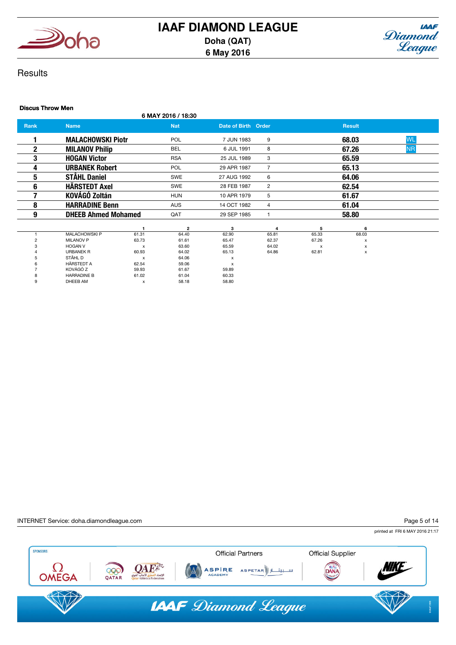



## **Results**

#### Discus Throw Men

6 MAY 2016 / 18:30

| <b>Rank</b> | <b>Name</b>                |                           | <b>Nat</b>     | Date of Birth Order |       |       | <b>Result</b> |           |
|-------------|----------------------------|---------------------------|----------------|---------------------|-------|-------|---------------|-----------|
|             | <b>MALACHOWSKI Piotr</b>   |                           | <b>POL</b>     | 7 JUN 1983          | 9     |       | 68.03         | <b>WL</b> |
| 2           | <b>MILANOV Philip</b>      |                           | <b>BEL</b>     | 6 JUL 1991          | 8     |       | 67.26         | <b>NR</b> |
| 3           | <b>HOGAN Victor</b>        |                           | <b>RSA</b>     | 25 JUL 1989         | 3     |       | 65.59         |           |
| 4           | <b>URBANEK Robert</b>      |                           | <b>POL</b>     | 29 APR 1987         |       |       | 65.13         |           |
| 5           | <b>STÅHL Daniel</b>        |                           | <b>SWE</b>     | 27 AUG 1992         | 6     |       | 64.06         |           |
| 6           | <b>HÄRSTEDT Axel</b>       |                           | <b>SWE</b>     | 28 FEB 1987         | 2     |       | 62.54         |           |
|             | <b>KOVÁGÓ Zoltán</b>       |                           | <b>HUN</b>     | 10 APR 1979         | 5     |       | 61.67         |           |
| 8           | <b>HARRADINE Benn</b>      |                           | <b>AUS</b>     | 14 OCT 1982         | 4     |       | 61.04         |           |
| 9           | <b>DHEEB Ahmed Mohamed</b> |                           | QAT            | 29 SEP 1985         |       |       | 58.80         |           |
|             |                            |                           | $\overline{2}$ | 3                   | 4     | 5     | 6             |           |
|             | <b>MALACHOWSKI P</b>       | 61.31                     | 64.40          | 62.90               | 65.81 | 65.33 | 68.03         |           |
|             | <b>MILANOV P</b>           | 63.73                     | 61.61          | 65.47               | 62.37 | 67.26 | x             |           |
|             | <b>HOGAN V</b>             | $\boldsymbol{\mathsf{x}}$ | 63.60          | 65.59               | 64.02 | x     | x             |           |
|             | <b>URBANEK R</b>           | 60.93                     | 64.02          | 65.13               | 64.86 | 62.81 | x             |           |

| 3 | <b>HOGAN V</b>     | x     | 63.60 | 65.59 |
|---|--------------------|-------|-------|-------|
| 4 | <b>URBANEK R</b>   | 60.93 | 64.02 | 65.13 |
| 5 | STÅHL D            | x     | 64.06 | x     |
| 6 | <b>HÄRSTEDT A</b>  | 62.54 | 59.06 | x     |
|   | KOVÁGÓ Z           | 59.93 | 61.67 | 59.89 |
| 8 | <b>HARRADINE B</b> | 61.02 | 61.04 | 60.33 |
| 9 | DHEEB AM           | x     | 58.18 | 58.80 |

INTERNET Service: doha.diamondleague.com

Page 5 of 14

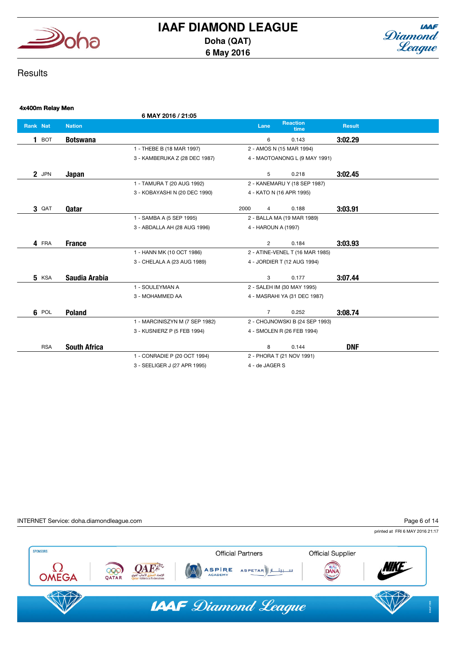



## **Results**

| 4x400m Relay Men   |                     |                                |      |                     |                                 |               |  |
|--------------------|---------------------|--------------------------------|------|---------------------|---------------------------------|---------------|--|
|                    |                     | 6 MAY 2016 / 21:05             |      |                     |                                 |               |  |
| <b>Rank Nat</b>    | <b>Nation</b>       |                                |      | Lane                | <b>Reaction</b><br>time         | <b>Result</b> |  |
| BOT<br>$\mathbf 1$ | <b>Botswana</b>     |                                |      | 6                   | 0.143                           | 3:02.29       |  |
|                    |                     | 1 - THEBE B (18 MAR 1997)      |      |                     | 2 - AMOS N (15 MAR 1994)        |               |  |
|                    |                     | 3 - KAMBERUKA Z (28 DEC 1987)  |      |                     | 4 - MAOTOANONG L (9 MAY 1991)   |               |  |
| 2 JPN              | Japan               |                                |      | 5                   | 0.218                           | 3:02.45       |  |
|                    |                     | 1 - TAMURA T (20 AUG 1992)     |      |                     | 2 - KANEMARU Y (18 SEP 1987)    |               |  |
|                    |                     | 3 - KOBAYASHI N (20 DEC 1990)  |      |                     | 4 - KATO N (16 APR 1995)        |               |  |
| 3 QAT              | Qatar               |                                | 2000 | 4                   | 0.188                           | 3:03.91       |  |
|                    |                     | 1 - SAMBA A (5 SEP 1995)       |      |                     | 2 - BALLA MA (19 MAR 1989)      |               |  |
|                    |                     | 3 - ABDALLA AH (28 AUG 1996)   |      | 4 - HAROUN A (1997) |                                 |               |  |
| 4 FRA              | <b>France</b>       |                                |      | $\overline{2}$      | 0.184                           | 3:03.93       |  |
|                    |                     | 1 - HANN MK (10 OCT 1986)      |      |                     | 2 - ATINE-VENEL T (16 MAR 1985) |               |  |
|                    |                     | 3 - CHELALA A (23 AUG 1989)    |      |                     | 4 - JORDIER T (12 AUG 1994)     |               |  |
| <b>5</b> KSA       | Saudia Arabia       |                                |      | 3                   | 0.177                           | 3:07.44       |  |
|                    |                     | 1 - SOULEYMAN A                |      |                     | 2 - SALEH IM (30 MAY 1995)      |               |  |
|                    |                     | 3 - MOHAMMED AA                |      |                     | 4 - MASRAHI YA (31 DEC 1987)    |               |  |
| 6 POL              | <b>Poland</b>       |                                |      | $\overline{7}$      | 0.252                           | 3:08.74       |  |
|                    |                     | 1 - MARCINISZYN M (7 SEP 1982) |      |                     | 2 - CHOJNOWSKI B (24 SEP 1993)  |               |  |
|                    |                     | 3 - KUSNIERZ P (5 FEB 1994)    |      |                     | 4 - SMOLEN R (26 FEB 1994)      |               |  |
| <b>RSA</b>         | <b>South Africa</b> |                                |      | 8                   | 0.144                           | <b>DNF</b>    |  |
|                    |                     | 1 - CONRADIE P (20 OCT 1994)   |      |                     | 2 - PHORA T (21 NOV 1991)       |               |  |
|                    |                     | 3 - SEELIGER J (27 APR 1995)   |      | 4 - de JAGER S      |                                 |               |  |
|                    |                     |                                |      |                     |                                 |               |  |

INTERNET Service: doha.diamondleague.com

Page 6 of 14

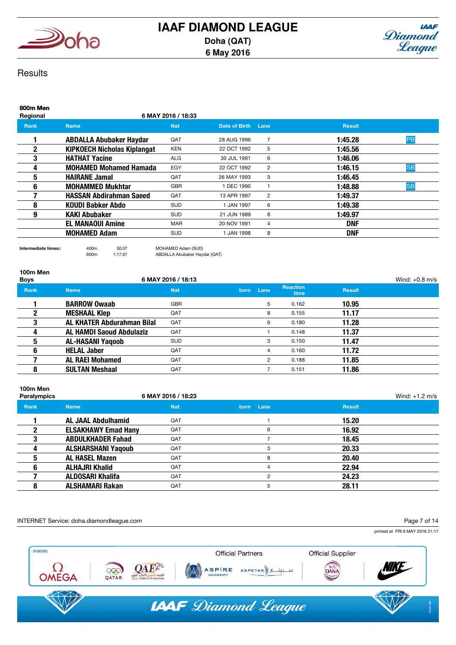



## **Results**

| 800m Men<br>Regional |                                    | 6 MAY 2016 / 18:33 |                 |                |               |           |
|----------------------|------------------------------------|--------------------|-----------------|----------------|---------------|-----------|
| <b>Rank</b>          | <b>Name</b>                        | <b>Nat</b>         | Date of Birth   | Lane           | <b>Result</b> |           |
|                      | <b>ABDALLA Abubaker Haydar</b>     | QAT                | 28 AUG 1996     | $\overline{7}$ | 1:45.28       | PB        |
| 2                    | <b>KIPKOECH Nicholas Kiplangat</b> | <b>KEN</b>         | 22 OCT 1992     | 5              | 1:45.56       |           |
| 3                    | <b>HATHAT Yacine</b>               | <b>ALG</b>         | 30 JUL 1991     | 6              | 1:46.06       |           |
| 4                    | <b>MOHAMED Mohamed Hamada</b>      | EGY                | 22 OCT 1992     | 2              | 1:46.15       | <b>SB</b> |
| 5                    | <b>HAIRANE Jamal</b>               | QAT                | 26 MAY 1993     | 3              | 1:46.45       |           |
| 6                    | <b>MOHAMMED Mukhtar</b>            | <b>GBR</b>         | <b>DEC 1990</b> |                | 1:48.88       | <b>SB</b> |
|                      | <b>HASSAN Abdirahman Saeed</b>     | QAT                | 13 APR 1997     | $\overline{2}$ | 1:49.37       |           |
| 8                    | KOUDI Babker Abdo                  | <b>SUD</b>         | 1 JAN 1997      | 6              | 1:49.38       |           |
| 9                    | <b>KAKI Abubaker</b>               | <b>SUD</b>         | 21 JUN 1989     | 8              | 1:49.97       |           |
|                      | <b>EL MANAOUI Amine</b>            | <b>MAR</b>         | 20 NOV 1991     | 4              | <b>DNF</b>    |           |
|                      | <b>MOHAMED Adam</b>                | <b>SUD</b>         | 1 JAN 1998      | 8              | <b>DNF</b>    |           |
|                      |                                    |                    |                 |                |               |           |

# 100m Men

Intermediate times:: 400m 50.07 MOHAMED Adam (SUD) ABDALLA Abubaker Haydar (QAT)

| <b>Boys</b> |                                   | 6 MAY 2016 / 18:13 |                |                         |               | Wind: $+0.8$ m/s |
|-------------|-----------------------------------|--------------------|----------------|-------------------------|---------------|------------------|
| <b>Rank</b> | <b>Name</b>                       | <b>Nat</b>         | born Lane      | <b>Reaction</b><br>time | <b>Result</b> |                  |
|             | <b>BARROW Owaab</b>               | <b>GBR</b>         | 5              | 0.162                   | 10.95         |                  |
|             | <b>MESHAAL Klep</b>               | QAT                | 8              | 0.155                   | 11.17         |                  |
| 3           | <b>AL KHATER Abdurahman Bilal</b> | QAT                | 6              | 0.180                   | 11.28         |                  |
| 4           | <b>AL HAMDI Saoud Abdulaziz</b>   | QAT                |                | 0.148                   | 11.37         |                  |
| 5           | <b>AL-HASANI Yaqoob</b>           | <b>SUD</b>         | 3              | 0.150                   | 11.47         |                  |
| 6           | <b>HELAL Jaber</b>                | QAT                | 4              | 0.160                   | 11.72         |                  |
|             | <b>AL RAEI Mohamed</b>            | QAT                | $\overline{2}$ | 0.188                   | 11.85         |                  |
| 8           | <b>SULTAN Meshaal</b>             | QAT                |                | 0.151                   | 11.86         |                  |

| 100m Men<br><b>Paralympics</b> |                            | 6 MAY 2016 / 18:23 |               |               | Wind: $+1.2$ m/s |
|--------------------------------|----------------------------|--------------------|---------------|---------------|------------------|
| Rank                           | <b>Name</b>                | <b>Nat</b>         | born Lane     | <b>Result</b> |                  |
|                                | <b>AL JAAL Abdulhamid</b>  | QAT                |               | 15.20         |                  |
|                                | <b>ELSAKHAWY Emad Hany</b> | QAT                | 6             | 16.92         |                  |
|                                | <b>ABDULKHADER Fahad</b>   | QAT                |               | 18.45         |                  |
|                                | <b>ALSHARSHANI Yaqoub</b>  | QAT                | з             | 20.33         |                  |
|                                | <b>AL HASEL Mazen</b>      | QAT                | 8             | 20.40         |                  |
| 6                              | <b>ALHAJRI Khalid</b>      | QAT                |               | 22.94         |                  |
|                                | <b>ALDOSARI Khalifa</b>    | QAT                | $\mathcal{P}$ | 24.23         |                  |
| 8                              | <b>ALSHAMARI Rakan</b>     | QAT                | 5             | 28.11         |                  |

INTERNET Service: doha.diamondleague.com

Page 7 of 14

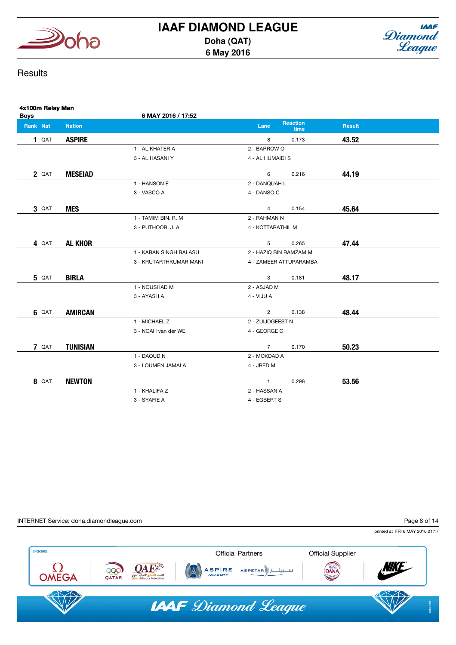



## **Results**

| 4x100m Relay Men<br><b>Boys</b> |                 | 6 MAY 2016 / 17:52     |                        |                         |               |  |
|---------------------------------|-----------------|------------------------|------------------------|-------------------------|---------------|--|
| Rank Nat                        | <b>Nation</b>   |                        | Lane                   | <b>Reaction</b><br>time | <b>Result</b> |  |
| 1 QAT                           | <b>ASPIRE</b>   |                        | 8                      | 0.173                   | 43.52         |  |
|                                 |                 | 1 - AL KHATER A        | 2 - BARROW O           |                         |               |  |
|                                 |                 | 3 - AL HASANI Y        | 4 - AL HUMAIDI S       |                         |               |  |
| 2 QAT                           | <b>MESEIAD</b>  |                        | 6                      | 0.216                   | 44.19         |  |
|                                 |                 | 1 - HANSON E           | 2 - DANQUAH L          |                         |               |  |
|                                 |                 | 3 - VASCO A            | 4 - DANSO C            |                         |               |  |
| 3 QAT                           | <b>MES</b>      |                        | $\overline{4}$         | 0.154                   | 45.64         |  |
|                                 |                 | 1 - TAMIM BIN. R. M    | 2 - RAHMAN N           |                         |               |  |
|                                 |                 | 3 - PUTHOOR. J. A      | 4 - KOTTARATHIL M      |                         |               |  |
| 4 QAT                           | <b>AL KHOR</b>  |                        | 5                      | 0.265                   | 47.44         |  |
|                                 |                 | 1 - KARAN SINGH BALASU | 2 - HAZIQ BIN RAMZAM M |                         |               |  |
|                                 |                 | 3 - KRUTARTHKUMAR MANI |                        | 4 - ZAMEER ATTUPARAMBA  |               |  |
| <b>5</b> QAT                    | <b>BIRLA</b>    |                        | 3                      | 0.181                   | 48.17         |  |
|                                 |                 | 1 - NOUSHAD M          | 2 - ASJAD M            |                         |               |  |
|                                 |                 | 3 - AYASH A            | 4 - VIJU A             |                         |               |  |
| <b>6 QAT</b>                    | <b>AMIRCAN</b>  |                        | $\overline{2}$         | 0.138                   | 48.44         |  |
|                                 |                 | 1 - MICHAEL Z          | 2 - ZUIJDGEEST N       |                         |               |  |
|                                 |                 | 3 - NOAH van der WE    | 4 - GEORGE C           |                         |               |  |
| 7 QAT                           | <b>TUNISIAN</b> |                        | $7^{\circ}$            | 0.170                   | 50.23         |  |
|                                 |                 | 1 - DAOUD N            | 2 - MOKDAD A           |                         |               |  |
|                                 |                 | 3 - LOUMEN JAMAI A     | 4 - JRED M             |                         |               |  |
| 8 QAT                           | <b>NEWTON</b>   |                        | $\mathbf{1}$           | 0.298                   | 53.56         |  |
|                                 |                 | 1 - KHALIFA Z          | 2 - HASSAN A           |                         |               |  |
|                                 |                 | 3 - SYAFIE A           | 4 - EGBERT S           |                         |               |  |

INTERNET Service: doha.diamondleague.com

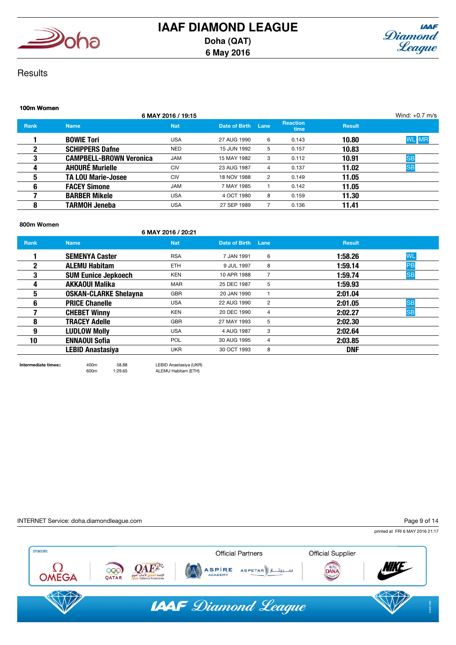



## **Results**

| 100m Women   |                                |                    |               |      |                         |               |                  |
|--------------|--------------------------------|--------------------|---------------|------|-------------------------|---------------|------------------|
|              |                                | 6 MAY 2016 / 19:15 |               |      |                         |               | Wind: $+0.7$ m/s |
| <b>Rank</b>  | <b>Name</b>                    | <b>Nat</b>         | Date of Birth | Lane | <b>Reaction</b><br>time | <b>Result</b> |                  |
|              | <b>BOWIE Tori</b>              | <b>USA</b>         | 27 AUG 1990   | 6    | 0.143                   | 10.80         | <b>WL</b> MR     |
| $\mathbf{2}$ | <b>SCHIPPERS Dafne</b>         | <b>NED</b>         | 15 JUN 1992   | 5    | 0.157                   | 10.83         |                  |
| 3            | <b>CAMPBELL-BROWN Veronica</b> | <b>JAM</b>         | 15 MAY 1982   | 3    | 0.112                   | 10.91         | <b>SB</b>        |
| 4            | <b>AHOURÉ Murielle</b>         | <b>CIV</b>         | 23 AUG 1987   | 4    | 0.137                   | 11.02         | <b>SB</b>        |
| 5            | <b>TA LOU Marie-Josee</b>      | <b>CIV</b>         | 18 NOV 1988   | 2    | 0.149                   | 11.05         |                  |
| 6            | <b>FACEY Simone</b>            | <b>JAM</b>         | 7 MAY 1985    |      | 0.142                   | 11.05         |                  |
|              | <b>BARBER Mikele</b>           | <b>USA</b>         | 4 OCT 1980    | 8    | 0.159                   | 11.30         |                  |
| 8            | <b>TARMOH Jeneba</b>           | <b>USA</b>         | 27 SEP 1989   |      | 0.136                   | 11.41         |                  |

#### 800m Women

| UUVIII 11VIIIVII |                              | 6 MAY 2016 / 20:21 |                    |                |               |           |
|------------------|------------------------------|--------------------|--------------------|----------------|---------------|-----------|
| <b>Rank</b>      | <b>Name</b>                  | <b>Nat</b>         | Date of Birth Lane |                | <b>Result</b> |           |
|                  | <b>SEMENYA Caster</b>        | <b>RSA</b>         | 7 JAN 1991         | 6              | 1:58.26       | <b>WL</b> |
| 2                | <b>ALEMU Habitam</b>         | ETH.               | 9 JUL 1997         | 8              | 1:59.14       | PB        |
| 3                | <b>SUM Eunice Jepkoech</b>   | <b>KEN</b>         | 10 APR 1988        | 7              | 1:59.74       | <b>SB</b> |
| 4                | <b>AKKAOUI Malika</b>        | <b>MAR</b>         | 25 DEC 1987        | 5              | 1:59.93       |           |
| 5                | <b>OSKAN-CLARKE Shelayna</b> | <b>GBR</b>         | 20 JAN 1990        |                | 2:01.04       |           |
| 6                | <b>PRICE Chanelle</b>        | <b>USA</b>         | 22 AUG 1990        | 2              | 2:01.05       | <b>SB</b> |
|                  | <b>CHEBET Winny</b>          | KEN                | 20 DEC 1990        | $\overline{4}$ | 2:02.27       | <b>SB</b> |
| 8                | <b>TRACEY Adelle</b>         | <b>GBR</b>         | 27 MAY 1993        | 5              | 2:02.30       |           |
| 9                | <b>LUDLOW Molly</b>          | <b>USA</b>         | 4 AUG 1987         | 3              | 2:02.64       |           |
| 10               | <b>ENNAOUI Sofia</b>         | <b>POL</b>         | 30 AUG 1995        | $\overline{4}$ | 2:03.85       |           |
|                  | <b>LEBID Anastasiya</b>      | <b>UKR</b>         | 30 OCT 1993        | 8              | <b>DNF</b>    |           |
|                  |                              |                    |                    |                |               |           |

Intermediate times:: 400m 58.88 LEBID Anastasiya (UKR) 600m 1:29.65 ALEMU Habitam (ETH)

#### INTERNET Service: doha.diamondleague.com

Page 9 of 14

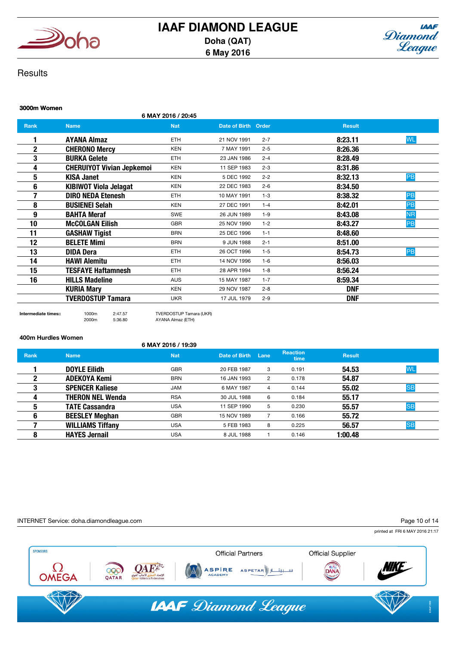



## **Results**

## 3000m Women 6 MAY 2016 / 20:45 **Rank Name Name Nat Nat Date of Birth Order Result** Result 1 AYANA Almaz ETH 21 NOV 1991 2-7 8:23.11 WL **2 CHERONO Mercy KEN 7 MAY 1991 2-5 8:26.36 3** BURKA Gelete ETH 23 JAN 1986 2-4 8:28.49 **4 CHERUIYOT Vivian Jepkemoi** KEN 11 SEP 1983 2-3 **8:31.86** 5 KISA Janet KEN 5 DEC 1992 2-2 8:32.13 PB 6 KIBIWOT Viola Jelagat KEN 22 DEC 1983 2-6 8:34.50 **7 DIRO NEDA Etenesh** ETH 10 MAY 1991 1-3 **8:38.32 PB 8 BUSIENEI Selah KEN 27 DEC 1991 1-4 8:42.01 PB** 9 BAHTA Meraf SWE 26 JUN 1989 1-9 8:43.08 NR **10 McCOLGAN Eilish GBR** 25 NOV 1990 1-2 8:43.27 **PB** 11 GASHAW Tigist BRN 25 DEC 1996 1-1 8:48.60 **12 BELETE Mimi BRN BRN** 9 JUN 1988 2-1 **8:51.00** 13 DIDA Dera ETH 26 OCT 1996 1-5 8:54.73 PB 14 **HAWI Alemitu** ETH 14 NOV 1996 1-6 8:56.03 **15 TESFAYE Haftamnesh** ETH 28 APR 1994 1-8 **8:56.24 16 HILLS Madeline AUS 15 MAY 1987 1-7 8:59.34** KURIA Mary KEN 29 NOV 1987 2-8 DNF **TVERDOSTUP Tamara** UKR 17 JUL 1979 2-9 **DNF**

2000m 5:36.80 AYANA Almaz (ETH)

Intermediate times:: 1000m 2:47.57 TVERDOSTUP Tamara (UKR)

400m Hurdles Women

## 6 MAY 2016 / 19:39

| Rank | <b>Name</b>             | <b>Nat</b> | Date of Birth | Lane | <b>Reaction</b><br>time | <b>Result</b> |           |
|------|-------------------------|------------|---------------|------|-------------------------|---------------|-----------|
|      | <b>DOYLE Eilidh</b>     | <b>GBR</b> | 20 FEB 1987   | 3    | 0.191                   | 54.53         | <b>WL</b> |
| າ    | <b>ADEKOYA Kemi</b>     | <b>BRN</b> | 16 JAN 1993   | 2    | 0.178                   | 54.87         |           |
| 3    | <b>SPENCER Kaliese</b>  | <b>JAM</b> | 6 MAY 1987    | 4    | 0.144                   | 55.02         | <b>SB</b> |
| 4    | <b>THERON NEL Wenda</b> | <b>RSA</b> | 30 JUL 1988   | 6    | 0.184                   | 55.17         |           |
| 5    | <b>TATE Cassandra</b>   | <b>USA</b> | 11 SEP 1990   | 5    | 0.230                   | 55.57         | <b>SB</b> |
| 6    | <b>BEESLEY Meghan</b>   | <b>GBR</b> | 15 NOV 1989   |      | 0.166                   | 55.72         |           |
|      | <b>WILLIAMS Tiffany</b> | <b>USA</b> | 5 FEB 1983    | 8    | 0.225                   | 56.57         | <b>SB</b> |
| 8    | <b>HAYES Jernail</b>    | <b>USA</b> | 8 JUL 1988    |      | 0.146                   | 1:00.48       |           |

INTERNET Service: doha.diamondleague.com

Page 10 of 14

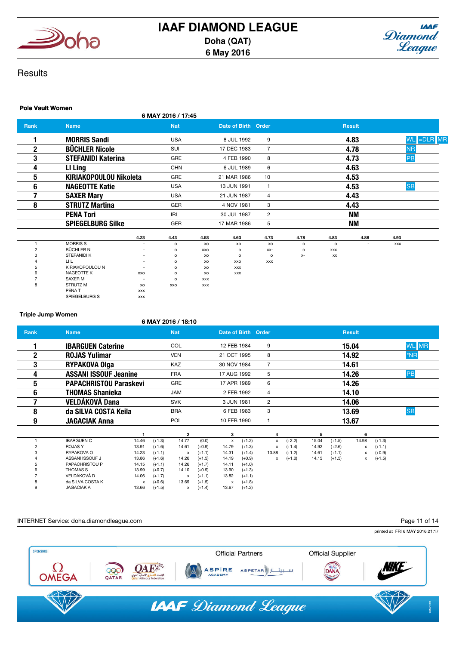



## **Results**

## Pole Vault Women

| . 910 TUUR TIONICH |                               |            | 6 MAY 2016 / 17:45 |            |                     |                |         |                |               |            |             |
|--------------------|-------------------------------|------------|--------------------|------------|---------------------|----------------|---------|----------------|---------------|------------|-------------|
| Rank               | <b>Name</b>                   |            | <b>Nat</b>         |            | Date of Birth Order |                |         |                | <b>Result</b> |            |             |
| 1                  | <b>MORRIS Sandi</b>           |            | <b>USA</b>         |            | 8 JUL 1992          | 9              |         |                | 4.83          |            | WL = DLR MR |
| $\mathbf 2$        | <b>BÜCHLER Nicole</b>         |            | SUI                |            | 17 DEC 1983         | $\overline{7}$ |         |                | 4.78          |            | <b>NR</b>   |
| 3                  | <b>STEFANIDI Katerina</b>     |            | GRE                |            | 4 FEB 1990          | 8              |         |                | 4.73          |            | PB          |
| 4                  | LI Ling                       |            | <b>CHN</b>         |            | 6 JUL 1989          | 6              |         |                | 4.63          |            |             |
| 5                  | <b>KIRIAKOPOULOU Nikoleta</b> |            | GRE                |            | 21 MAR 1986         | 10             |         |                | 4.53          |            |             |
| 6                  | <b>NAGEOTTE Katie</b>         |            | <b>USA</b>         |            | 13 JUN 1991         | $\overline{1}$ |         |                | 4.53          |            | <b>SB</b>   |
| 7                  | <b>SAXER Mary</b>             |            | <b>USA</b>         |            | 21 JUN 1987         | $\overline{4}$ |         |                | 4.43          |            |             |
| 8                  | <b>STRUTZ Martina</b>         |            | <b>GER</b>         |            | 4 NOV 1981          | 3              |         |                | 4.43          |            |             |
|                    | <b>PENA Tori</b>              |            | <b>IRL</b>         |            | 30 JUL 1987         | 2              |         |                | <b>NM</b>     |            |             |
|                    | <b>SPIEGELBURG Silke</b>      |            | GER                |            | 17 MAR 1986         | 5              |         |                | <b>NM</b>     |            |             |
|                    |                               | 4.23       | 4.43               | 4.53       | 4.63                | 4.73           | 4.78    | 4.83           | 4.88          | 4.93       |             |
|                    | <b>MORRISS</b>                |            | $\circ$            | xo         | XO                  | XO             | $\circ$ | $\mathsf{o}\,$ |               | <b>XXX</b> |             |
| $\overline{2}$     | <b>BÜCHLER N</b>              |            | $\circ$            | XXO        | $\circ$             | XX-            | $\circ$ | <b>XXX</b>     |               |            |             |
| 3                  | <b>STEFANIDI K</b>            |            | $\circ$            | XO         | $\circ$             | o              | $X-$    | XX             |               |            |             |
|                    | LI L                          |            | $\circ$            | XO         | XXO                 | <b>XXX</b>     |         |                |               |            |             |
|                    | KIRIAKOPOULOU N               |            | $\circ$            | XO         | <b>XXX</b>          |                |         |                |               |            |             |
|                    | NAGEOTTE K                    | XXO        | $\circ$            | XO         | <b>XXX</b>          |                |         |                |               |            |             |
|                    | <b>SAXER M</b>                |            | $\mathsf{o}$       | <b>XXX</b> |                     |                |         |                |               |            |             |
| 8                  | STRUTZ M                      | XO         | XXO                | <b>XXX</b> |                     |                |         |                |               |            |             |
|                    | PENA T                        | <b>XXX</b> |                    |            |                     |                |         |                |               |            |             |
|                    | SPIEGELBURG S                 | <b>XXX</b> |                    |            |                     |                |         |                |               |            |             |

Triple Jump Women

|             | 6 MAY 2016 / 18:10            |       |          |            |          |                     |          |                |          |       |          |               |          |              |
|-------------|-------------------------------|-------|----------|------------|----------|---------------------|----------|----------------|----------|-------|----------|---------------|----------|--------------|
| <b>Rank</b> | <b>Name</b>                   |       |          | <b>Nat</b> |          | Date of Birth Order |          |                |          |       |          | <b>Result</b> |          |              |
|             | <b>IBARGUEN Caterine</b>      |       |          | COL        |          | 12 FEB 1984         |          | 9              |          |       |          | 15.04         |          | <b>WL</b> MR |
| $\mathbf 2$ | <b>ROJAS Yulimar</b>          |       |          | <b>VEN</b> |          | 21 OCT 1995         |          | 8              |          |       |          | 14.92         |          | $*NR$        |
| 3           | <b>RYPAKOVA Olga</b>          |       |          | <b>KAZ</b> |          | 30 NOV 1984         |          | $\overline{7}$ |          |       |          | 14.61         |          |              |
| 4           | <b>ASSANI ISSOUF Jeanine</b>  |       |          | <b>FRA</b> |          | 17 AUG 1992         |          | 5              |          |       |          | 14.26         |          | PB           |
| 5           | <b>PAPACHRISTOU Paraskevi</b> |       |          | GRE        |          | 17 APR 1989         |          | 6              |          |       |          | 14.26         |          |              |
| 6           | <b>THOMAS Shanieka</b>        |       |          | <b>JAM</b> |          | 2 FEB 1992          |          | $\overline{4}$ |          |       |          | 14.10         |          |              |
| 7           | <b>VELDÁKOVÁ Dana</b>         |       |          | <b>SVK</b> |          | 3 JUN 1981          |          | 2              |          |       |          | 14.06         |          |              |
| 8           | da SILVA COSTA Keila          |       |          | <b>BRA</b> |          | 6 FEB 1983          |          | 3              |          |       |          | 13.69         |          | <b>SB</b>    |
| 9           | <b>JAGACIAK Anna</b>          |       |          | <b>POL</b> |          | 10 FEB 1990         |          | $\mathbf{1}$   |          |       |          | 13.67         |          |              |
|             |                               |       |          | 2          |          | з                   |          | 4              |          | 5     |          | 6             |          |              |
|             | <b>IBARGUEN C</b>             | 14.46 | $(+1.3)$ | 14.77      | (0.0)    | $\pmb{\times}$      | $(+1.2)$ | x              | $(+2.2)$ | 15.04 | $(+1.5)$ | 14.98         | $(+1.3)$ |              |
|             | <b>ROJASY</b>                 | 13.91 | $(+1.6)$ | 14.61      | $(+0.9)$ | 14.79               | $(+1.3)$ | x              | $(+1.4)$ | 14.92 | $(+2.6)$ | x             | $(+1.1)$ |              |
|             | RYPAKOVA O                    | 14.23 | $(+1.1)$ | X          | $(+1.1)$ | 14.31               | $(+1.4)$ | 13.88          | $(+1.2)$ | 14.61 | $(+1.1)$ | x             | $(+0.9)$ |              |
|             | ASSANI ISSOUF J               | 13.86 | $(+1.6)$ | 14.26      | $(+1.5)$ | 14.19               | $(+0.9)$ | x              | $(+1.0)$ | 14.15 | $(+1.5)$ | x             | $(+1.5)$ |              |
|             | PAPACHRISTOU P                | 14.15 | $(+1.1)$ | 14.26      | $(+1.7)$ | 14.11               | $(+1.0)$ |                |          |       |          |               |          |              |
|             | <b>THOMAS S</b>               | 13.99 | $(+0.7)$ | 14.10      | $(+0.9)$ | 13.90               | $(+1.3)$ |                |          |       |          |               |          |              |
|             | VELDÁKOVÁ D                   | 14.06 | $(+1.7)$ | x          | $(+1.1)$ | 13.82               | $(+1.1)$ |                |          |       |          |               |          |              |
|             | da SILVA COSTA K              | х     | $(+0.6)$ | 13.69      | $(+1.5)$ | х                   | $(+1.8)$ |                |          |       |          |               |          |              |
|             | <b>JAGACIAK A</b>             | 13.66 | $(+1.5)$ | x          | $(+1.4)$ | 13.67               | $(+1.2)$ |                |          |       |          |               |          |              |

#### INTERNET Service: doha.diamondleague.com

Page 11 of 14

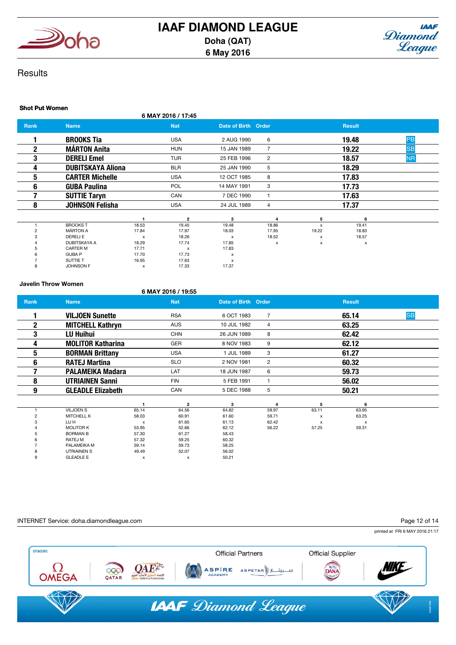



## **Results**

#### Shot Put Women 6 MAY 2016 / 17:45 **Rank Name Name Nat Nat Date of Birth Order Result** Result 1 BROOKS Tia USA 2 AUG 1990 6 19.48 PB **2** MÁRTON Anita **HUN 15 JAN 1989** 7 19.22 SB **3 DERELI Emel** TUR 25 FEB 1996 2 <mark>NR</mark> **4 DUBITSKAYA Aliona** BLR 25 JAN 1990 5 18.29 **5 CARTER Michelle USA** 12 OCT 1985 8 17.83 **6 GUBA Paulina POL 14 MAY 1991 3** 17.73 **7 SUTTIE Taryn** CAN 7 DEC 1990 1 17.63 8 JOHNSON Felisha USA 24 JUL 1989 4 17.37 1 2 3 4 5 6 1 BROOKS T 18.53 19.45 19.48 18.86 x 19.41 2 MÁRTON A 17.84 17.97 18.03 17.95 19.22 18.83 3 DERELIE x 18.26 x 18.52 x 18.57 4 DUBITSKAYA A 18.29 17.74 17.85 x x x 5 CARTER M 17.71 x 17.83<br>6 GUBA P 17.70 17.73 x 6 GUBA P 17.70 17.73 x 7 SUTTIE T 16.95 17.63 x 8 JOHNSON F x 17.33 17.37

#### Javelin Throw Women

## 6 MAY 2016 / 19:55

| Rank | <b>Name</b>              |                           | <b>Nat</b>   | Date of Birth Order |                |       | <b>Result</b> |           |
|------|--------------------------|---------------------------|--------------|---------------------|----------------|-------|---------------|-----------|
|      | <b>VILJOEN Sunette</b>   |                           | <b>RSA</b>   | 6 OCT 1983          | $\overline{7}$ |       | 65.14         | <b>SB</b> |
| 2    | <b>MITCHELL Kathryn</b>  |                           | <b>AUS</b>   | 10 JUL 1982         | 4              |       | 63.25         |           |
| 3    | <b>LU Huihui</b>         |                           | <b>CHN</b>   | 26 JUN 1989         | 8              |       | 62.42         |           |
| 4    | <b>MOLITOR Katharina</b> |                           | GER          | 8 NOV 1983          | 9              |       | 62.12         |           |
| 5    | <b>BORMAN Brittany</b>   |                           | <b>USA</b>   | 1 JUL 1989          | 3              |       | 61.27         |           |
| 6    | <b>RATEJ Martina</b>     |                           | <b>SLO</b>   | 2 NOV 1981          | 2              |       | 60.32         |           |
|      | <b>PALAMEIKA Madara</b>  |                           | LAT          | 18 JUN 1987         | 6              |       | 59.73         |           |
| 8    | <b>UTRIAINEN Sanni</b>   |                           | <b>FIN</b>   | 5 FEB 1991          | $\mathbf{1}$   |       | 56.02         |           |
| 9    | <b>GLEADLE Elizabeth</b> |                           | CAN          | 5 DEC 1988          | 5              |       | 50.21         |           |
|      |                          |                           | $\mathbf 2$  | 3                   | 4              | 5     | 6             |           |
|      | <b>VILJOEN S</b>         | 65.14                     | 64.56        | 64.82               | 59.97          | 63.11 | 63.95         |           |
|      | MITCHELL K               | 58.03                     | 60.91        | 61.60               | 59.71          | x     | 63.25         |           |
| з    | LU H                     | $\boldsymbol{\mathsf{x}}$ | 61.65        | 61.13               | 62.42          | X     | $\mathsf{x}$  |           |
|      | <b>MOLITOR K</b>         | 53.95                     | 52.66        | 62.12               | 56.22          | 57.25 | 59.31         |           |
|      | <b>BORMAN B</b>          | 57.30                     | 61.27        | 58.43               |                |       |               |           |
|      | RATEJ M                  | 57.32                     | 59.25        | 60.32               |                |       |               |           |
|      | PALAMEIKA M              | 59.14                     | 59.73        | 58.25               |                |       |               |           |
|      | <b>UTRIAINEN S</b>       | 49.49                     | 52.07        | 56.02               |                |       |               |           |
| 9    | <b>GLEADLE E</b>         | $\mathbf{x}$              | $\mathsf{x}$ | 50.21               |                |       |               |           |

#### INTERNET Service: doha.diamondleague.com

#### Page 12 of 14

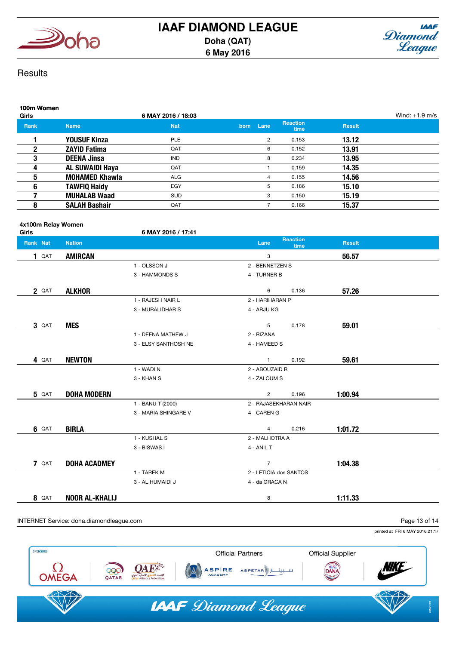



## **Results**

| 100m Women<br><b>Girls</b> |                        | 6 MAY 2016 / 18:03 |      |             |                         |               | Wind: $+1.9$ m/s |
|----------------------------|------------------------|--------------------|------|-------------|-------------------------|---------------|------------------|
| <b>Rank</b>                | <b>Name</b>            | <b>Nat</b>         | born | <b>Lane</b> | <b>Reaction</b><br>time | <b>Result</b> |                  |
|                            | <b>YOUSUF Kinza</b>    | <b>PLE</b>         |      | 2           | 0.153                   | 13.12         |                  |
| 2                          | <b>ZAYID Fatima</b>    | QAT                |      | 6           | 0.152                   | 13.91         |                  |
| 3                          | <b>DEENA Jinsa</b>     | <b>IND</b>         |      | 8           | 0.234                   | 13.95         |                  |
|                            | <b>AL SUWAIDI Haya</b> | QAT                |      |             | 0.159                   | 14.35         |                  |
| 5                          | <b>MOHAMED Khawla</b>  | <b>ALG</b>         |      | 4           | 0.155                   | 14.56         |                  |
| 6                          | <b>TAWFIQ Haidy</b>    | EGY                |      | 5           | 0.186                   | 15.10         |                  |
|                            | <b>MUHALAB Waad</b>    | <b>SUD</b>         |      | 3           | 0.150                   | 15.19         |                  |
| 8                          | <b>SALAH Bashair</b>   | QAT                |      |             | 0.166                   | 15.37         |                  |

# 4x100m Relay Women

| Girls        |                       | 6 MAY 2016 / 17:41   |                        |                         |               |  |
|--------------|-----------------------|----------------------|------------------------|-------------------------|---------------|--|
| Rank Nat     | <b>Nation</b>         |                      | Lane                   | <b>Reaction</b><br>time | <b>Result</b> |  |
| 1 QAT        | <b>AMIRCAN</b>        |                      | 3                      |                         | 56.57         |  |
|              |                       | 1 - OLSSON J         | 2 - BENNETZEN S        |                         |               |  |
|              |                       | 3 - HAMMONDS S       | 4 - TURNER B           |                         |               |  |
| 2 QAT        | <b>ALKHOR</b>         |                      | 6                      | 0.136                   | 57.26         |  |
|              |                       | 1 - RAJESH NAIR L    | 2 - HARIHARAN P        |                         |               |  |
|              |                       | 3 - MURALIDHAR S     | 4 - ARJU KG            |                         |               |  |
| 3 QAT        | <b>MES</b>            |                      | 5                      | 0.178                   | 59.01         |  |
|              |                       | 1 - DEENA MATHEW J   | 2 - RIZANA             |                         |               |  |
|              |                       | 3 - ELSY SANTHOSH NE | 4 - HAMEED S           |                         |               |  |
| 4 QAT        | <b>NEWTON</b>         |                      | $\mathbf{1}$           | 0.192                   | 59.61         |  |
|              |                       | 1 - WADI N           | 2 - ABOUZAID R         |                         |               |  |
|              |                       | 3 - KHAN S           | 4 - ZALOUM S           |                         |               |  |
| <b>5</b> QAT | <b>DOHA MODERN</b>    |                      | $\overline{2}$         | 0.196                   | 1:00.94       |  |
|              |                       | 1 - BANU T (2000)    | 2 - RAJASEKHARAN NAIR  |                         |               |  |
|              |                       | 3 - MARIA SHINGARE V | 4 - CAREN G            |                         |               |  |
| <b>6 QAT</b> | <b>BIRLA</b>          |                      | $\overline{4}$         | 0.216                   | 1:01.72       |  |
|              |                       | 1 - KUSHAL S         | 2 - MALHOTRA A         |                         |               |  |
|              |                       | 3 - BISWAS I         | 4 - ANIL T             |                         |               |  |
| 7 QAT        | <b>DOHA ACADMEY</b>   |                      | $\overline{7}$         |                         | 1:04.38       |  |
|              |                       | 1 - TAREK M          | 2 - LETICIA dos SANTOS |                         |               |  |
|              |                       | 3 - AL HUMAIDI J     | 4 - da GRACA N         |                         |               |  |
| 8 QAT        | <b>NOOR AL-KHALIJ</b> |                      | 8                      |                         | 1:11.33       |  |

## INTERNET Service: doha.diamondleague.com

Page 13 of 14